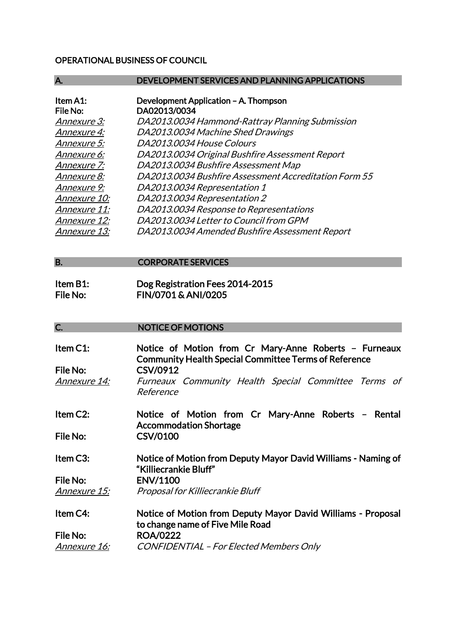## OPERATIONAL BUSINESS OF COUNCIL

| А.           | <b>DEVELOPMENT SERVICES AND PLANNING APPLICATIONS</b> |
|--------------|-------------------------------------------------------|
|              |                                                       |
| Item A1:     | Development Application - A. Thompson                 |
| File No:     | DA02013/0034                                          |
| Annexure 3:  | DA2013.0034 Hammond-Rattray Planning Submission       |
| Annexure 4:  | DA2013.0034 Machine Shed Drawings                     |
| Annexure 5:  | DA2013.0034 House Colours                             |
| Annexure 6:  | DA2013.0034 Original Bushfire Assessment Report       |
| Annexure 7:  | DA2013.0034 Bushfire Assessment Map                   |
| Annexure 8:  | DA2013.0034 Bushfire Assessment Accreditation Form 55 |
| Annexure 9:  | DA2013.0034 Representation 1                          |
| Annexure 10: | DA2013.0034 Representation 2                          |
| Annexure 11: | DA2013.0034 Response to Representations               |
| Annexure 12: | DA2013.0034 Letter to Council from GPM                |
| Annexure 13: | DA2013.0034 Amended Bushfire Assessment Report        |
|              |                                                       |

B. CORPORATE SERVICES

Item B1: Dog Registration Fees 2014-2015<br>File No: FIN/0701 & ANI/0205 FIN/0701 & ANI/0205

## C. NOTICE OF MOTIONS

| Item C1:              | Notice of Motion from Cr Mary-Anne Roberts - Furneaux<br><b>Community Health Special Committee Terms of Reference</b> |
|-----------------------|-----------------------------------------------------------------------------------------------------------------------|
| File No:              | CSV/0912                                                                                                              |
| Annexure 14:          | Furneaux Community Health Special Committee Terms of<br><i>Reference</i>                                              |
| Item C <sub>2</sub> : | Notice of Motion from Cr Mary-Anne Roberts - Rental<br><b>Accommodation Shortage</b>                                  |
| File No:              | <b>CSV/0100</b>                                                                                                       |
| Item C3:              | Notice of Motion from Deputy Mayor David Williams - Naming of<br>"Killiecrankie Bluff"                                |
| File No:              | <b>ENV/1100</b>                                                                                                       |
| <u>Annexure 15:</u>   | Proposal for Killiecrankie Bluff                                                                                      |
| Item C4:              | Notice of Motion from Deputy Mayor David Williams - Proposal<br>to change name of Five Mile Road                      |
| File No:              | <b>ROA/0222</b>                                                                                                       |
| <u>Annexure 16:</u>   | <b>CONFIDENTIAL</b> - For Elected Members Only                                                                        |